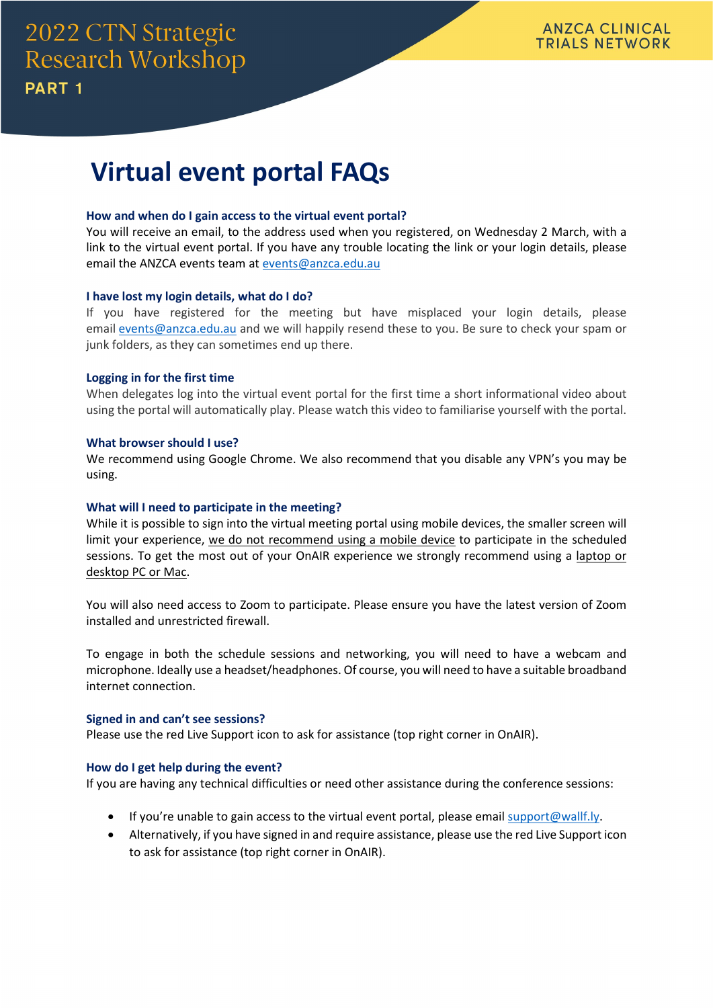# **Virtual event portal FAQs**

# **How and when do I gain access to the virtual event portal?**

You will receive an email, to the address used when you registered, on Wednesday 2 March, with a link to the virtual event portal. If you have any trouble locating the link or your login details, please email the ANZCA events team at [events@anzca.edu.au](mailto:events@anzca.edu.au?subject=2022%20CTN%20Strategic%20Research%20Workshop%20-%20Part%201)

# **I have lost my login details, what do I do?**

If you have registered for the meeting but have misplaced your login details, please email [events@anzca.edu.au](mailto:events@anzca.edu.au) and we will happily resend these to you. Be sure to check your spam or junk folders, as they can sometimes end up there.

# **Logging in for the first time**

When delegates log into the virtual event portal for the first time a short informational video about using the portal will automatically play. Please watch this video to familiarise yourself with the portal.

# **What browser should I use?**

We recommend using Google Chrome. We also recommend that you disable any VPN's you may be using.

# **What will I need to participate in the meeting?**

While it is possible to sign into the virtual meeting portal using mobile devices, the smaller screen will limit your experience, we do not recommend using a mobile device to participate in the scheduled sessions. To get the most out of your OnAIR experience we strongly recommend using a laptop or desktop PC or Mac.

You will also need access to Zoom to participate. Please ensure you have the latest version of Zoom installed and unrestricted firewall.

To engage in both the schedule sessions and networking, you will need to have a webcam and microphone. Ideally use a headset/headphones. Of course, you will need to have a suitable broadband internet connection.

#### **Signed in and can't see sessions?**

Please use the red Live Support icon to ask for assistance (top right corner in OnAIR).

# **How do I get help during the event?**

If you are having any technical difficulties or need other assistance during the conference sessions:

- If you're unable to gain access to the virtual event portal, please email [support@wallf.ly.](mailto:support@wallf.ly?subject=2022%20CTN%20Workshop%20-%20Delegate%20technical%20support%20required)
- Alternatively, if you have signed in and require assistance, please use the red Live Support icon to ask for assistance (top right corner in OnAIR).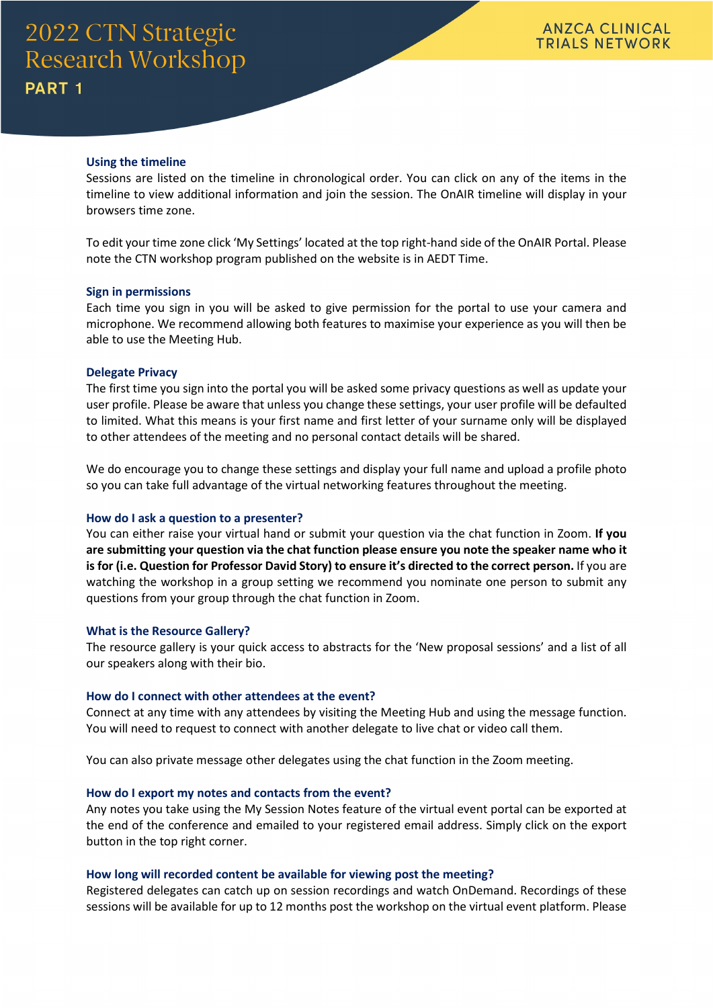# **Using the timeline**

Sessions are listed on the timeline in chronological order. You can click on any of the items in the timeline to view additional information and join the session. The OnAIR timeline will display in your browsers time zone.

To edit your time zone click 'My Settings' located at the top right-hand side of the OnAIR Portal. Please note the CTN workshop program published on the website is in AEDT Time.

#### **Sign in permissions**

Each time you sign in you will be asked to give permission for the portal to use your camera and microphone. We recommend allowing both features to maximise your experience as you will then be able to use the Meeting Hub.

#### **Delegate Privacy**

The first time you sign into the portal you will be asked some privacy questions as well as update your user profile. Please be aware that unless you change these settings, your user profile will be defaulted to limited. What this means is your first name and first letter of your surname only will be displayed to other attendees of the meeting and no personal contact details will be shared.

We do encourage you to change these settings and display your full name and upload a profile photo so you can take full advantage of the virtual networking features throughout the meeting.

#### **How do I ask a question to a presenter?**

You can either raise your virtual hand or submit your question via the chat function in Zoom. **If you are submitting your question via the chat function please ensure you note the speaker name who it is for (i.e. Question for Professor David Story) to ensure it's directed to the correct person.** If you are watching the workshop in a group setting we recommend you nominate one person to submit any questions from your group through the chat function in Zoom.

#### **What is the Resource Gallery?**

The resource gallery is your quick access to abstracts for the 'New proposal sessions' and a list of all our speakers along with their bio.

#### **How do I connect with other attendees at the event?**

Connect at any time with any attendees by visiting the Meeting Hub and using the message function. You will need to request to connect with another delegate to live chat or video call them.

You can also private message other delegates using the chat function in the Zoom meeting.

#### **How do I export my notes and contacts from the event?**

Any notes you take using the My Session Notes feature of the virtual event portal can be exported at the end of the conference and emailed to your registered email address. Simply click on the export button in the top right corner.

### **How long will recorded content be available for viewing post the meeting?**

Registered delegates can catch up on session recordings and watch OnDemand. Recordings of these sessions will be available for up to 12 months post the workshop on the virtual event platform. Please